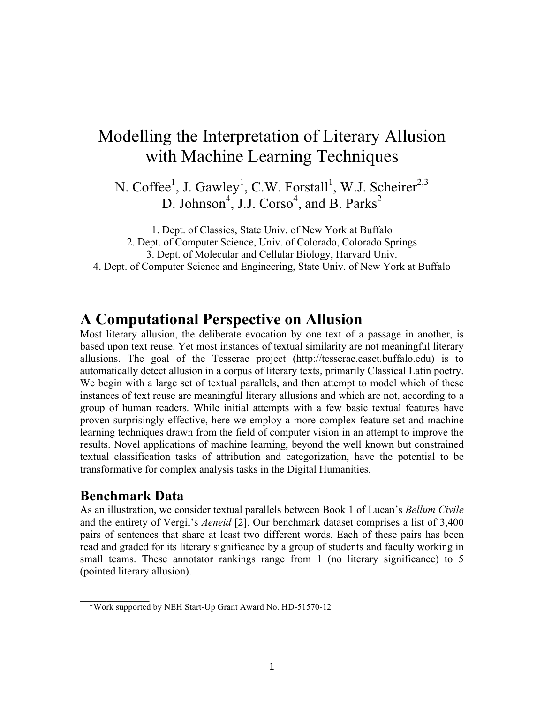# Modelling the Interpretation of Literary Allusion with Machine Learning Techniques

N. Coffee<sup>1</sup>, J. Gawley<sup>1</sup>, C.W. Forstall<sup>1</sup>, W.J. Scheirer<sup>2,3</sup> D. Johnson<sup>4</sup>, J.J. Corso<sup>4</sup>, and B. Parks<sup>2</sup>

1. Dept. of Classics, State Univ. of New York at Buffalo 2. Dept. of Computer Science, Univ. of Colorado, Colorado Springs 3. Dept. of Molecular and Cellular Biology, Harvard Univ. 4. Dept. of Computer Science and Engineering, State Univ. of New York at Buffalo

## **A Computational Perspective on Allusion**

Most literary allusion, the deliberate evocation by one text of a passage in another, is based upon text reuse. Yet most instances of textual similarity are not meaningful literary allusions. The goal of the Tesserae project (http://tesserae.caset.buffalo.edu) is to automatically detect allusion in a corpus of literary texts, primarily Classical Latin poetry. We begin with a large set of textual parallels, and then attempt to model which of these instances of text reuse are meaningful literary allusions and which are not, according to a group of human readers. While initial attempts with a few basic textual features have proven surprisingly effective, here we employ a more complex feature set and machine learning techniques drawn from the field of computer vision in an attempt to improve the results. Novel applications of machine learning, beyond the well known but constrained textual classification tasks of attribution and categorization, have the potential to be transformative for complex analysis tasks in the Digital Humanities.

#### **Benchmark Data**

 $\frac{1}{2}$ 

As an illustration, we consider textual parallels between Book 1 of Lucan's *Bellum Civile* and the entirety of Vergil's *Aeneid* [2]. Our benchmark dataset comprises a list of 3,400 pairs of sentences that share at least two different words. Each of these pairs has been read and graded for its literary significance by a group of students and faculty working in small teams. These annotator rankings range from 1 (no literary significance) to 5 (pointed literary allusion).

 <sup>\*</sup>Work supported by NEH Start-Up Grant Award No. HD-51570-12